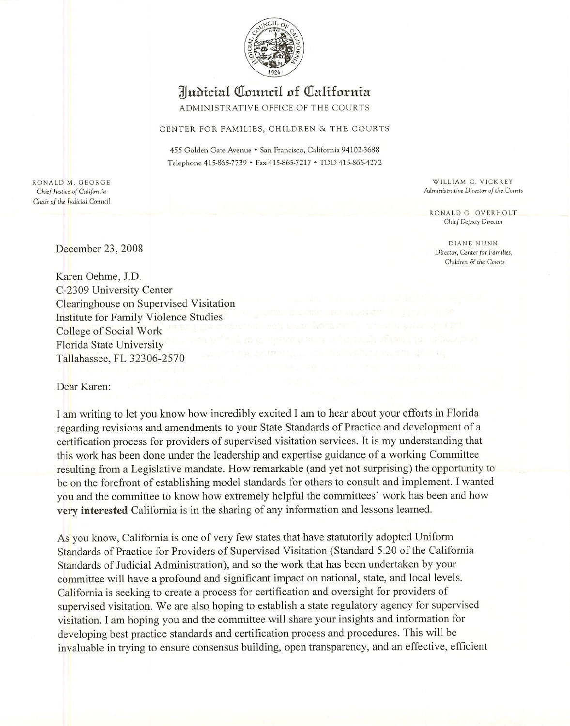

## **Wubidal QIauudl af QIalifaruia**

ADMINISTRATIVE OFFICE OF THE COURTS

## CENTER FOR FAMILIES, CHILDREN & THE COURTS

455 Golden Gate Avenue • San Francisco, California 94102-3688 Telephone 415-865-7739 • Fax 415-865-7217 • TDD 415-865-4272

RONALD M. GEORGE *Chief Justice of California Chair of* the Judicial Council

WILLIAM C. VICKREY *Administrative Director of the Courts*

RONALD G. OVERHOLT *Chief Deputy Director*

DIANE NUNN Director, *Center for Families, Children* & *the Courts*

December 23, 2008

Karen Oehme, J.D. C-2309 University Center Clearinghouse on Supervised Visitation Institute for Family Violence Studies College of Social Work Florida State University Tallahassee, FL 32306-2570

Dear Karen:

I am writing to let you know how incredibly excited I am to hear about your efforts in Florida regarding revisions and amendments to your State Standards of Practice and development of a certification process for providers of supervised visitation services. It is my understanding that this work has been done under the leadership and expertise guidance of a working Committee resulting from a Legislative mandate. How remarkable (and yet not surprising) the opportunity to be on the forefront of establishing model standards for others to consult and implement. I wanted you and the committee to know how extremely helpful the committees' work has been and how **very interested** California is in the sharing of any information and lessons learned.

As you know, California is one of very few states that have statutorily adopted Uniform Standards of Practice for Providers of Supervised Visitation (Standard 5.20 of the California Standards of Judicial Administration), and so the work that has been undertaken by your committee will have a profound and significant impact on national, state, and local levels. California is seeking to create a process for certification and oversight for providers of supervised visitation. We are also hoping to establish a state regulatory agency for supervised visitation. I am hoping you and the committee will share your insights and information for developing best practice standards and certification process and procedures. This will be invaluable in trying to ensure consensus building, open transparency, and an effective, efficient